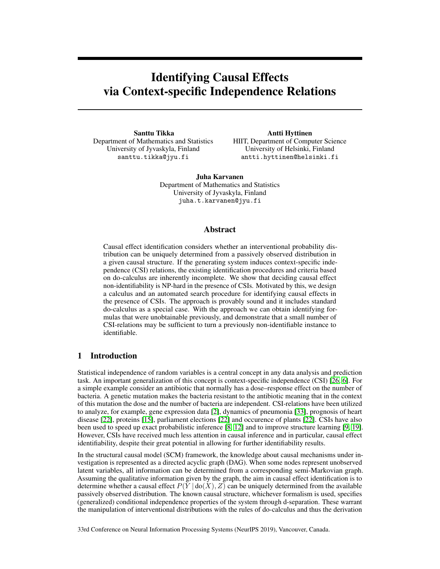# Identifying Causal Effects via Context-specific Independence Relations

Santtu Tikka Department of Mathematics and Statistics University of Jyvaskyla, Finland santtu.tikka@jyu.fi

Antti Hyttinen HIIT, Department of Computer Science University of Helsinki, Finland antti.hyttinen@helsinki.fi

Juha Karvanen Department of Mathematics and Statistics University of Jyvaskyla, Finland juha.t.karvanen@jyu.fi

## Abstract

Causal effect identification considers whether an interventional probability distribution can be uniquely determined from a passively observed distribution in a given causal structure. If the generating system induces context-specific independence (CSI) relations, the existing identification procedures and criteria based on do-calculus are inherently incomplete. We show that deciding causal effect non-identifiability is NP-hard in the presence of CSIs. Motivated by this, we design a calculus and an automated search procedure for identifying causal effects in the presence of CSIs. The approach is provably sound and it includes standard do-calculus as a special case. With the approach we can obtain identifying formulas that were unobtainable previously, and demonstrate that a small number of CSI-relations may be sufficient to turn a previously non-identifiable instance to identifiable.

# 1 Introduction

Statistical independence of random variables is a central concept in any data analysis and prediction task. An important generalization of this concept is context-specific independence (CSI) [26, 6]. For a simple example consider an antibiotic that normally has a dose–response effect on the number of bacteria. A genetic mutation makes the bacteria resistant to the antibiotic meaning that in the context of this mutation the dose and the number of bacteria are independent. CSI-relations have been utilized to analyze, for example, gene expression data [2], dynamics of pneumonia [33], prognosis of heart disease [22], proteins [15], parliament elections [22] and occurence of plants [22]. CSIs have also been used to speed up exact probabilistic inference [8, 12] and to improve structure learning [9, 19]. However, CSIs have received much less attention in causal inference and in particular, causal effect identifiability, despite their great potential in allowing for further identifiability results.

In the structural causal model (SCM) framework, the knowledge about causal mechanisms under investigation is represented as a directed acyclic graph (DAG). When some nodes represent unobserved latent variables, all information can be determined from a corresponding semi-Markovian graph. Assuming the qualitative information given by the graph, the aim in causal effect identification is to determine whether a causal effect  $P(Y | \text{do}(X), Z)$  can be uniquely determined from the available passively observed distribution. The known causal structure, whichever formalism is used, specifies (generalized) conditional independence properties of the system through d-separation. These warrant the manipulation of interventional distributions with the rules of do-calculus and thus the derivation

33rd Conference on Neural Information Processing Systems (NeurIPS 2019), Vancouver, Canada.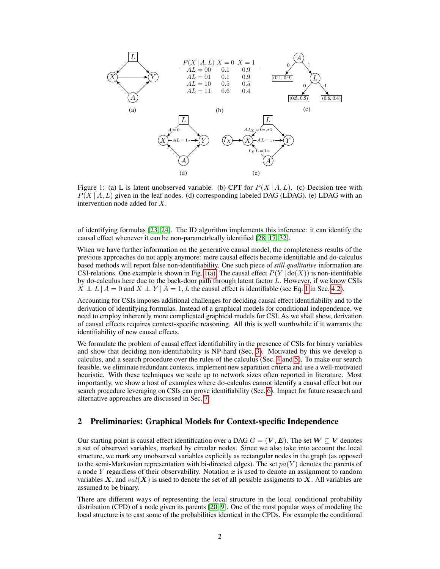

Figure 1: (a) L is latent unobserved variable. (b) CPT for  $P(X | A, L)$ . (c) Decision tree with  $P(X | A, L)$  given in the leaf nodes. (d) corresponding labeled DAG (LDAG). (e) LDAG with an intervention node added for X.

of identifying formulas [23, 24]. The ID algorithm implements this inference: it can identify the causal effect whenever it can be non-parametrically identified [28, 17, 32].

When we have further information on the generative causal model, the completeness results of the previous approaches do not apply anymore: more causal effects become identifiable and do-calculus based methods will report false non-identifiability. One such piece of *still qualitative* information are CSI-relations. One example is shown in Fig. 1(a). The causal effect  $P(Y | \text{do}(X))$  is non-identifiable by do-calculus here due to the back-door path through latent factor  $\tilde{L}$ . However, if we know CSIs  $\overline{X} \perp L | A = 0$  and  $\overline{X} \perp Y | A = 1$ , L the causal effect is identifiable (see Eq. 1 in Sec. 4.2).

Accounting for CSIs imposes additional challenges for deciding causal effect identifiability and to the derivation of identifying formulas. Instead of a graphical models for conditional independence, we need to employ inherently more complicated graphical models for CSI. As we shall show, derivation of causal effects requires context-specific reasoning. All this is well worthwhile if it warrants the identifiability of new causal effects.

We formulate the problem of causal effect identifiability in the presence of CSIs for binary variables and show that deciding non-identifiability is NP-hard (Sec. 3). Motivated by this we develop a calculus, and a search procedure over the rules of the calculus (Sec. 4 and 5). To make our search feasible, we eliminate redundant contexts, implement new separation criteria and use a well-motivated heuristic. With these techniques we scale up to network sizes often reported in literature. Most importantly, we show a host of examples where do-calculus cannot identify a causal effect but our search procedure leveraging on CSIs can prove identifiability (Sec. 6). Impact for future research and alternative approaches are discussed in Sec. 7.

## 2 Preliminaries: Graphical Models for Context-specific Independence

Our starting point is causal effect identification over a DAG  $G = (\mathbf{V}, \mathbf{E})$ . The set  $\mathbf{W} \subseteq \mathbf{V}$  denotes a set of observed variables, marked by circular nodes. Since we also take into account the local structure, we mark any unobserved variables explicitly as rectangular nodes in the graph (as opposed to the semi-Markovian representation with bi-directed edges). The set  $pa(Y)$  denotes the parents of a node Y regardless of their observability. Notation  $x$  is used to denote an assignment to random variables X, and  $val(X)$  is used to denote the set of all possible assigments to X. All variables are assumed to be binary.

There are different ways of representing the local structure in the local conditional probability distribution (CPD) of a node given its parents [20, 9]. One of the most popular ways of modeling the local structure is to cast some of the probabilities identical in the CPDs. For example the conditional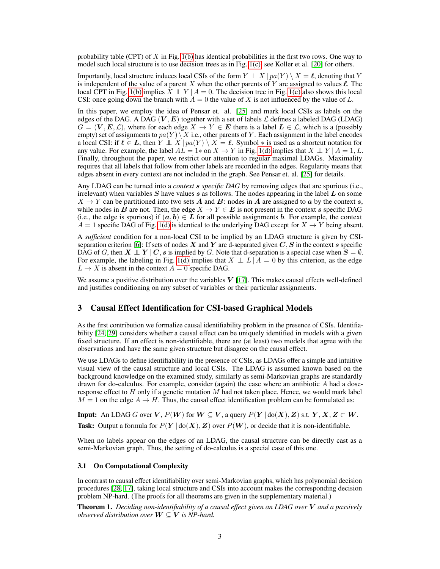probability table (CPT) of X in Fig. 1(b) has identical probabilities in the first two rows. One way to model such local structure is to use decision trees as in Fig. 1(c), see Koller et al. [20] for others.

Importantly, local structure induces local CSIs of the form  $Y \perp X \mid pa(Y) \setminus X = \ell$ , denoting that Y is independent of the value of a parent X when the other parents of Y are assigned to values  $\ell$ . The local CPT in Fig. 1(b) implies  $X \perp Y | A = 0$ . The decision tree in Fig. 1(c) also shows this local CSI: once going down the branch with  $A = 0$  the value of X is not influenced by the value of L.

In this paper, we employ the idea of Pensar et. al. [25] and mark local CSIs as labels on the edges of the DAG. A DAG (V, E) together with a set of labels  $\mathcal L$  defines a labeled DAG (LDAG)  $G = (V, E, \mathcal{L})$ , where for each edge  $X \to Y \in E$  there is a label  $L \in \mathcal{L}$ , which is a (possibly empty) set of assignments to  $pa(Y) \ X$  i.e., other parents of Y. Each assignment in the label encodes a local CSI: if  $\ell \in L$ , then  $Y \perp X \mid pa(Y) \setminus X = \ell$ . Symbol  $*$  is used as a shortcut notation for any value. For example, the label  $\overrightarrow{AL} = 1*$  on  $X \to Y$  in Fig. 1(d) implies that  $X \perp Y | A = 1, L$ . Finally, throughout the paper, we restrict our attention to regular maximal LDAGs. Maximality requires that all labels that follow from other labels are recorded in the edges. Regularity means that edges absent in every context are not included in the graph. See Pensar et. al. [25] for details.

Any LDAG can be turned into a *context* s *specific DAG* by removing edges that are spurious (i.e., irrelevant) when variables  $S$  have values  $s$  as follows. The nodes appearing in the label  $L$  on some  $X \to Y$  can be partitioned into two sets A and B: nodes in A are assigned to a by the context s, while nodes in  $\vec{B}$  are not. Then, the edge  $X \to Y \in E$  is not present in the context s specific DAG (i.e., the edge is spurious) if  $(a, b) \in L$  for all possible assignments b. For example, the context  $A = 1$  specific DAG of Fig. 1(d) is identical to the underlying DAG except for  $X \rightarrow Y$  being absent.

A *sufficient* condition for a non-local CSI to be implied by an LDAG structure is given by CSIseparation criterion [6]: If sets of nodes  $X$  and  $Y$  are d-separated given  $C, S$  in the context s specific DAG of G, then  $X \perp Y \mid C$ , s is implied by G. Note that d-separation is a special case when  $S = \emptyset$ . For example, the labeling in Fig. 1(d) implies that  $X \perp L | A = 0$  by this criterion, as the edge  $L \rightarrow X$  is absent in the context  $A = 0$  specific DAG.

We assume a positive distribution over the variables  $V$  [17]. This makes causal effects well-defined and justifies conditioning on any subset of variables or their particular assignments.

## 3 Causal Effect Identification for CSI-based Graphical Models

As the first contribution we formalize causal identifiability problem in the presence of CSIs. Identifiability [24, 29] considers whether a causal effect can be uniquely identified in models with a given fixed structure. If an effect is non-identifiable, there are (at least) two models that agree with the observations and have the same given structure but disagree on the causal effect.

We use LDAGs to define identifiability in the presence of CSIs, as LDAGs offer a simple and intuitive visual view of the causal structure and local CSIs. The LDAG is assumed known based on the background knowledge on the examined study, similarly as semi-Markovian graphs are standardly drawn for do-calculus. For example, consider (again) the case where an antibiotic  $A$  had a doseresponse effect to  $H$  only if a genetic mutation  $M$  had not taken place. Hence, we would mark label  $M = 1$  on the edge  $A \rightarrow H$ . Thus, the causal effect identification problem can be formulated as:

**Input:** An LDAG G over V,  $P(W)$  for  $W \subseteq V$ , a query  $P(Y | \text{do}(X), Z)$  s.t.  $Y, X, Z \subseteq W$ .

**Task:** Output a formula for  $P(Y | \text{do}(X), Z)$  over  $P(W)$ , or decide that it is non-identifiable.

When no labels appear on the edges of an LDAG, the causal structure can be directly cast as a semi-Markovian graph. Thus, the setting of do-calculus is a special case of this one.

## 3.1 On Computational Complexity

In contrast to causal effect identifiability over semi-Markovian graphs, which has polynomial decision procedures [28, 17], taking local structure and CSIs into account makes the corresponding decision problem NP-hard. (The proofs for all theorems are given in the supplementary material.)

Theorem 1. *Deciding non-identifiability of a causal effect given an LDAG over* V *and a passively observed distribution over*  $W \subseteq V$  *is NP-hard.*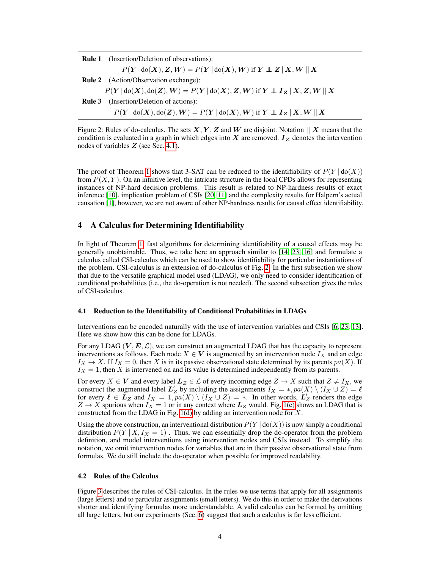Rule 1 (Insertion/Deletion of observations):  $P(Y | \text{do}(X), Z, W) = P(Y | \text{do}(X), W)$  if  $Y \perp Z | X, W || X$ Rule 2 (Action/Observation exchange):  $P(Y | \text{do}(X), \text{do}(Z), W) = P(Y | \text{do}(X), Z, W)$  if  $Y \perp I_Z | X, Z, W | X$ Rule 3 (Insertion/Deletion of actions):  $P(Y | \text{do}(X), \text{do}(Z), W) = P(Y | \text{do}(X), W)$  if  $Y \perp I_Z | X, W | X$ 

Figure 2: Rules of do-calculus. The sets  $X, Y, Z$  and W are disjoint. Notation  $||X|$  means that the condition is evaluated in a graph in which edges into X are removed.  $I_z$  denotes the intervention nodes of variables  $Z$  (see Sec. 4.1).

The proof of Theorem 1 shows that 3-SAT can be reduced to the identifiability of  $P(Y | \text{do}(X))$ from  $P(X, Y)$ . On an intuitive level, the intricate structure in the local CPDs allows for representing instances of NP-hard decision problems. This result is related to NP-hardness results of exact inference [10], implication problem of CSIs [20, 11] and the complexity results for Halpern's actual causation [1], however, we are not aware of other NP-hardness results for causal effect identifiability.

## 4 A Calculus for Determining Identifiability

In light of Theorem 1, fast algorithms for determining identifiability of a causal effects may be generally unobtainable. Thus, we take here an approach similar to [14, 23, 16] and formulate a calculus called CSI-calculus which can be used to show identifiability for particular instantiations of the problem. CSI-calculus is an extension of do-calculus of Fig. 2. In the first subsection we show that due to the versatile graphical model used (LDAG), we only need to consider identification of conditional probabilities (i.e., the do-operation is not needed). The second subsection gives the rules of CSI-calculus.

#### 4.1 Reduction to the Identifiability of Conditional Probabilities in LDAGs

Interventions can be encoded naturally with the use of intervention variables and CSIs [6, 23, 13]. Here we show how this can be done for LDAGs.

For any LDAG  $(V, E, \mathcal{L})$ , we can construct an augmented LDAG that has the capacity to represent interventions as follows. Each node  $X \in V$  is augmented by an intervention node  $I_X$  and an edge  $I_X \to X$ . If  $I_X = 0$ , then X is in its passive observational state determined by its parents  $pa(X)$ . If  $I_X = 1$ , then X is intervened on and its value is determined independently from its parents.

For every  $X \in V$  and every label  $L_Z \in \mathcal{L}$  of every incoming edge  $Z \to X$  such that  $Z \neq I_X$ , we construct the augmented label  $L'_Z$  by including the assignments  $I_X = *, pa(X) \setminus (I_X \cup Z) = \ell$ for every  $\ell \in \mathbf{L}_Z$  and  $I_X = 1$ ,  $pa(X) \setminus (I_X \cup Z) = *$ . In other words,  $\mathbf{L}'_Z$  renders the edge  $Z \rightarrow X$  spurious when  $I_X = 1$  or in any context where  $L_Z$  would. Fig. 1(e) shows an LDAG that is constructed from the LDAG in Fig. 1(d) by adding an intervention node for  $X$ .

Using the above construction, an interventional distribution  $P(Y | \text{do}(X))$  is now simply a conditional distribution  $P(Y | X, I_X = 1)$ . Thus, we can essentially drop the do-operator from the problem definition, and model interventions using intervention nodes and CSIs instead. To simplify the notation, we omit intervention nodes for variables that are in their passive observational state from formulas. We do still include the do-operator when possible for improved readability.

#### 4.2 Rules of the Calculus

Figure 3 describes the rules of CSI-calculus. In the rules we use terms that apply for all assignments (large letters) and to particular assignments (small letters). We do this in order to make the derivations shorter and identifying formulas more understandable. A valid calculus can be formed by omitting all large letters, but our experiments (Sec. 6) suggest that such a calculus is far less efficient.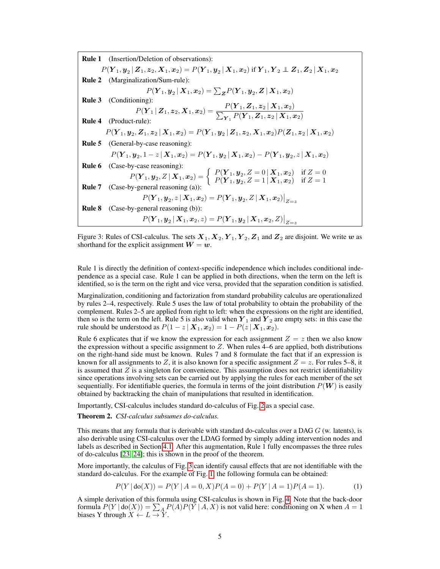Rule 1 (Insertion/Deletion of observations):  $P(\bm Y_1, \bm y_2 \,|\, \bm Z_1, \bm z_2, \bm X_1, \bm x_2) = P(\bm Y_1, \bm y_2 \,|\, \bm X_1, \bm x_2)$  if  $\bm Y_1, \bm Y_2 \perp\!\!\!\!\perp \bm Z_1, \bm Z_2 \,|\, \bm X_1, \bm x_2$ Rule 2 (Marginalization/Sum-rule):  $P(\boldsymbol{Y}_{1}, \boldsymbol{y}_{2} \,|\, \boldsymbol{X}_{1}, \boldsymbol{x}_{2}) = \sum_{\boldsymbol{Z}} P(\boldsymbol{Y}_{1}, \boldsymbol{y}_{2}, \boldsymbol{Z} \,|\, \boldsymbol{X}_{1}, \boldsymbol{x}_{2})$ **Rule 3** (Conditioning):<br>  $P(Y_1 | Z_1, z_2, X_1, x_2) = \frac{P(Y_1, Z_1, z_2 | X_1, x_2)}{\sum_{Y_1} P(Y_1, Z_1, z_2 | X_1, x_2)}$ <br> **Rule 4** (Product-rule):  $P(\boldsymbol{Y}_1,\boldsymbol{y}_2,\boldsymbol{Z}_1,\boldsymbol{z}_2\,|\,\boldsymbol{X}_1,\boldsymbol{x}_2) = P(\boldsymbol{Y}_1,\boldsymbol{y}_2\,|\,\boldsymbol{Z}_1,\boldsymbol{z}_2,\boldsymbol{X}_1,\boldsymbol{x}_2) P(\boldsymbol{Z}_1,\boldsymbol{z}_2\,|\,\boldsymbol{X}_1,\boldsymbol{x}_2)$ Rule 5 (General-by-case reasoning):  $P(\boldsymbol{Y}_1,\boldsymbol{y}_2,1-z\,|\,\boldsymbol{X}_1,\boldsymbol{x}_2)=P(\boldsymbol{Y}_1,\boldsymbol{y}_2\,|\,\boldsymbol{X}_1,\boldsymbol{x}_2)-P(\boldsymbol{Y}_1,\boldsymbol{y}_2,z\,|\,\boldsymbol{X}_1,\boldsymbol{x}_2)$ Rule 6 (Case-by-case reasoning):  $P(Y_1, y_2, Z | X_1, x_2) = \begin{cases} P(Y_1, y_2, Z = 0 | X_1, x_2) & \text{if } Z = 0 \\ P(Y_1, y_2, Z = 1 | X_1, x_2) & \text{if } Z = 1 \end{cases}$  $P(Y_1, y_2, Z = 1 | X_1, x_2)$  if  $Z = 1$ **Rule 7** (Case-by-general reasoning (a)):  $P(\boldsymbol{Y}_1, \boldsymbol{y}_2, z \,|\, \boldsymbol{X}_1, \boldsymbol{x}_2) = P(\boldsymbol{Y}_1, \boldsymbol{y}_2, Z \,|\, \boldsymbol{X}_1, \boldsymbol{x}_2)\big|_{Z=z}$ Rule 8 (Case-by-general reasoning (b)):  $P(\boldsymbol{Y}_1, \boldsymbol{y}_2 | \boldsymbol{X}_1, \boldsymbol{x}_2, z) = P(\boldsymbol{Y}_1, \boldsymbol{y}_2 | \boldsymbol{X}_1, \boldsymbol{x}_2, Z)\big|_{Z=z}$ 

Figure 3: Rules of CSI-calculus. The sets  $X_1, X_2, Y_1, Y_2, Z_1$  and  $Z_2$  are disjoint. We write w as shorthand for the explicit assignment  $W = w$ .

Rule 1 is directly the definition of context-specific independence which includes conditional independence as a special case. Rule 1 can be applied in both directions, when the term on the left is identified, so is the term on the right and vice versa, provided that the separation condition is satisfied.

Marginalization, conditioning and factorization from standard probability calculus are operationalized by rules 2–4, respectively. Rule 5 uses the law of total probability to obtain the probability of the complement. Rules 2–5 are applied from right to left: when the expressions on the right are identified, then so is the term on the left. Rule 5 is also valid when  $Y_1$  and  $Y_2$  are empty sets: in this case the rule should be understood as  $P(1 - z | \mathbf{X}_1, \mathbf{x}_2) = 1 - P(z | \mathbf{X}_1, \mathbf{x}_2)$ .

Rule 6 explicates that if we know the expression for each assignment  $Z = z$  then we also know the expression without a specific assignment to  $Z$ . When rules 4–6 are applied, both distributions on the right-hand side must be known. Rules 7 and 8 formulate the fact that if an expression is known for all assignments to Z, it is also known for a specific assignment  $Z = z$ . For rules 5–8, it is assumed that  $Z$  is a singleton for convenience. This assumption does not restrict identifiability since operations involving sets can be carried out by applying the rules for each member of the set sequentially. For identifiable queries, the formula in terms of the joint distribution  $P(\mathbf{W})$  is easily obtained by backtracking the chain of manipulations that resulted in identification.

Importantly, CSI-calculus includes standard do-calculus of Fig. 2 as a special case.

Theorem 2. *CSI-calculus subsumes do-calculus.*

This means that any formula that is derivable with standard do-calculus over a DAG G (w. latents), is also derivable using CSI-calculus over the LDAG formed by simply adding intervention nodes and labels as described in Section 4.1. After this augmentation, Rule 1 fully encompasses the three rules of do-calculus [23, 24]; this is shown in the proof of the theorem.

More importantly, the calculus of Fig. 3 can identify causal effects that are not identifiable with the standard do-calculus. For the example of Fig. 1, the following formula can be obtained:

$$
P(Y | \text{do}(X)) = P(Y | A = 0, X)P(A = 0) + P(Y | A = 1)P(A = 1).
$$
 (1)

A simple derivation of this formula using CSI-calculus is shown in Fig. 4. Note that the back-door formula  $P(Y | \text{do}(X)) = \sum_{A} P(A)P(Y | A, X)$  is not valid here: conditioning on X when  $A = 1$ biases Y through  $X \leftarrow L \rightarrow Y$ .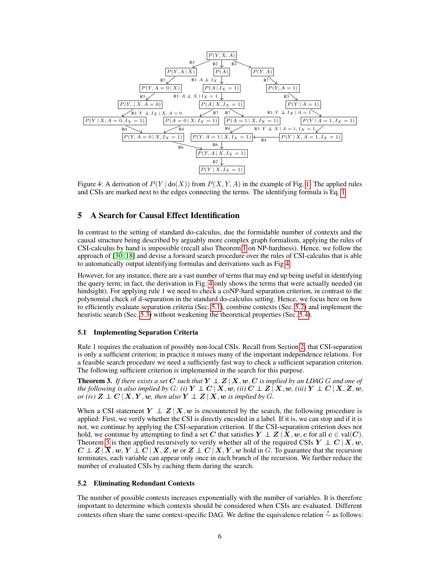

Figure 4: A derivation of  $P(Y | \text{do}(X))$  from  $P(X, Y, A)$  in the example of Fig. 1. The applied rules and CSIs are marked next to the edges connecting the terms. The identifying formula is Eq. 1.

# 5 A Search for Causal Effect Identification

In contrast to the setting of standard do-calculus, due the formidable number of contexts and the causal structure being described by arguably more complex graph formalism, applying the rules of CSI-calculus by hand is impossible (recall also Theorem 1 on NP-hardness). Hence, we follow the approach of [30, 18] and devise a forward search procedure over the rules of CSI-calculus that is able to automatically output identifying formulas and derivations such as Fig 4.

However, for any instance, there are a vast number of terms that may end up being useful in identifying the query term; in fact, the derivation in Fig. 4 only shows the terms that were actually needed (in hindsight). For applying rule 1 we need to check a coNP-hard separation criterion, in contrast to the polynomial check of d-separation in the standard do-calculus setting. Hence, we focus here on how to efficiently evaluate separation criteria (Sec. 5.1), combine contexts (Sec. 5.2) and implement the heuristic search (Sec. 5.3) without weakening the theoretical properties (Sec. 5.4).

## 5.1 Implementing Separation Criteria

Rule 1 requires the evaluation of possibly non-local CSIs. Recall from Section 2, that CSI-separation is only a sufficient criterion; in practice it misses many of the important independence relations. For a feasible search procedure we need a sufficiently fast way to check a sufficient separation criterion. The following sufficient criterion is implemented in the search for this purpose.

**Theorem 3.** If there exists a set C such that  $Y \perp Z \mid X, w, C$  is implied by an LDAG G and one of *the following is also implied by* G: (i)  $Y \perp \!\!\! \perp C \mid X, w$ , (ii)  $C \perp \!\!\! \perp Z \mid X, w$ , (iii)  $Y \perp \!\!\! \perp C \mid X, Z, w$ , *or (iv)*  $Z \perp \!\!\!\! \perp C \mid X, Y, w$ , then also  $Y \perp \!\!\!\! \perp Z \mid X, w$  is implied by G.

When a CSI statement  $Y \perp Z | X, w$  is encountered by the search, the following procedure is applied: First, we verify whether the CSI is directly encoded in a label. If it is, we can stop and if it is not, we continue by applying the CSI-separation criterion. If the CSI-separation criterion does not hold, we continue by attempting to find a set C that satisfies  $Y \perp Z | X, w, c$  for all  $c \in \text{val}(C)$ . Theorem 3 is then applied recursively to verify whether all of the required CSIs  $Y \perp C | X, w$ ,  $C \perp Z | X, w, Y \perp C | X, Z, w$  or  $Z \perp C | X, Y, w$  hold in G. To guarantee that the recursion terminates, each variable can appear only once in each branch of the recursion. We further reduce the number of evaluated CSIs by caching them during the search.

## 5.2 Eliminating Redundant Contexts

The number of possible contexts increases exponentially with the number of variables. It is therefore important to determine which contexts should be considered when CSIs are evaluated. Different contexts often share the same context-specific DAG. We define the equivalence relation  $\stackrel{\circ}{\sim}$  as follows: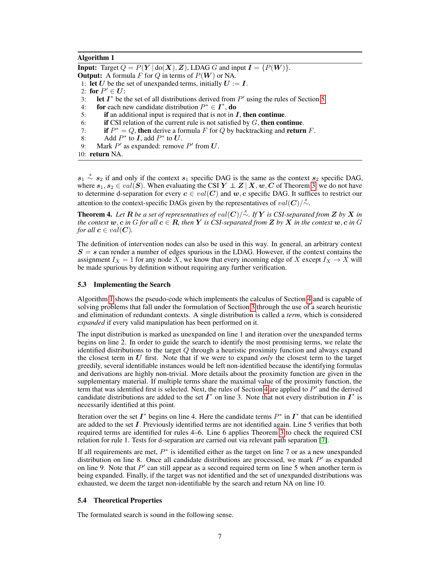#### Algorithm 1

**Input:** Target  $Q = P(Y | \text{do}(X), Z)$ , LDAG G and input  $I = \{P(W)\}.$ **Output:** A formula F for Q in terms of  $P(W)$  or NA. 1: let U be the set of unexpanded terms, initially  $U := I$ . 2: for  $P' \in U$ : 3: let  $I^*$  be the set of all distributions derived from  $P'$  using the rules of Section 5. 4: for each new candidate distribution  $P^* \in I^*$ , do 5: if an additional input is required that is not in  $I$ , then continue. 6: if CSI relation of the current rule is not satisfied by  $G$ , then continue. 7: if  $P^* = Q$ , then derive a formula F for Q by backtracking and return F. 8: Add  $P^*$  to  $\mathbf{I}$ , add  $P^*$  to  $\mathbf{U}$ . 9: Mark  $P'$  as expanded: remove  $P'$  from  $U$ .

10: return NA.

 $s_1 \stackrel{s}{\sim} s_2$  if and only if the context  $s_1$  specific DAG is the same as the context  $s_2$  specific DAG, where  $s_1, s_2 \in val(S)$ . When evaluating the CSI  $Y \perp Z | X, w, C$  of Theorem 3, we do not have to determine d-separation for every  $c \in val(C)$  and w, c specific DAG. It suffices to restrict our attention to the context-specific DAGs given by the representatives of  $val(C)/\stackrel{s}{\sim}$ .

Theorem 4. Let R be a set of representatives of  $val(C)/\stackrel{s}{\sim}$ . If Y is CSI-separated from Z by X in *the context*  $w, c$  *in* G *for all*  $c \in \mathbb{R}$ *, then* Y *is CSI-separated from* Z *by* X *in the context*  $w, c$  *in* G *for all*  $c \in val(C)$ *.* 

The definition of intervention nodes can also be used in this way. In general, an arbitrary context  $S = s$  can render a number of edges spurious in the LDAG. However, if the context contains the assignment  $I_X = 1$  for any node X, we know that every incoming edge of X except  $I_X \to X$  will be made spurious by definition without requiring any further verification.

#### 5.3 Implementing the Search

Algorithm 1 shows the pseudo-code which implements the calculus of Section 4 and is capable of solving problems that fall under the formulation of Section 3 through the use of a search heuristic and elimination of redundant contexts. A single distribution is called a *term*, which is considered *expanded* if every valid manipulation has been performed on it.

The input distribution is marked as unexpanded on line 1 and iteration over the unexpanded terms begins on line 2. In order to guide the search to identify the most promising terms, we relate the identified distributions to the target  $Q$  through a heuristic proximity function and always expand the closest term in U first. Note that if we were to expand *only* the closest term to the target greedily, several identifiable instances would be left non-identified because the identifying formulas and derivations are highly non-trivial. More details about the proximity function are given in the supplementary material. If multiple terms share the maximal value of the proximity function, the term that was identified first is selected. Next, the rules of Section 4 are applied to  $P'$  and the derived candidate distributions are added to the set  $I^*$  on line 3. Note that not every distribution in  $I^*$  is necessarily identified at this point.

Iteration over the set  $I^*$  begins on line 4. Here the candidate terms  $P^*$  in  $I^*$  that can be identified are added to the set  $\bm{I}$ . Previously identified terms are not identified again. Line 5 verifies that both required terms are identified for rules 4–6. Line 6 applies Theorem 3 to check the required CSI relation for rule 1. Tests for d-separation are carried out via relevant path separation [7].

If all requirements are met,  $P^*$  is identified either as the target on line 7 or as a new unexpanded distribution on line 8. Once all candidate distributions are processed, we mark  $P'$  as expanded on line 9. Note that  $P'$  can still appear as a second required term on line 5 when another term is being expanded. Finally, if the target was not identified and the set of unexpanded distributions was exhausted, we deem the target non-identifiable by the search and return NA on line 10.

#### 5.4 Theoretical Properties

The formulated search is sound in the following sense.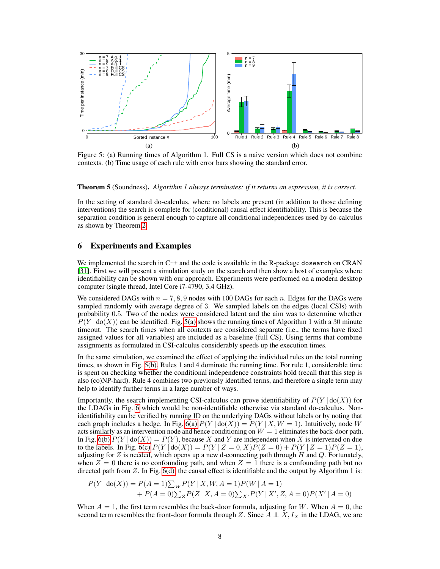

Figure 5: (a) Running times of Algorithm 1. Full CS is a naive version which does not combine contexts. (b) Time usage of each rule with error bars showing the standard error.

Theorem 5 (Soundness). *Algorithm 1 always terminates: if it returns an expression, it is correct.*

In the setting of standard do-calculus, where no labels are present (in addition to those defining interventions) the search is complete for (conditional) causal effect identifiability. This is because the separation condition is general enough to capture all conditional independences used by do-calculus as shown by Theorem 2.

## 6 Experiments and Examples

We implemented the search in C++ and the code is available in the R-package dosearch on CRAN [31]. First we will present a simulation study on the search and then show a host of examples where identifiability can be shown with our approach. Experiments were performed on a modern desktop computer (single thread, Intel Core i7-4790, 3.4 GHz).

We considered DAGs with  $n = 7, 8, 9$  nodes with 100 DAGs for each n. Edges for the DAGs were sampled randomly with average degree of 3. We sampled labels on the edges (local CSIs) with probability 0.5. Two of the nodes were considered latent and the aim was to determine whether  $P(Y | \text{do}(X))$  can be identified. Fig. 5(a) shows the running times of Algorithm 1 with a 30 minute timeout. The search times when all contexts are considered separate (i.e., the terms have fixed assigned values for all variables) are included as a baseline (full CS). Using terms that combine assignments as formulated in CSI-calculus considerably speeds up the execution times.

In the same simulation, we examined the effect of applying the individual rules on the total running times, as shown in Fig. 5(b). Rules 1 and 4 dominate the running time. For rule 1, considerable time is spent on checking whether the conditional independence constraints hold (recall that this step is also (co)NP-hard). Rule 4 combines two previously identified terms, and therefore a single term may help to identify further terms in a large number of ways.

Importantly, the search implementing CSI-calculus can prove identifiability of  $P(Y | \text{do}(X))$  for the LDAGs in Fig. 6 which would be non-identifiable otherwise via standard do-calculus. Nonidentifiability can be verified by running ID on the underlying DAGs without labels or by noting that each graph includes a hedge. In Fig. 6(a)  $P(Y | \text{do}(X)) = P(Y | X, W = 1)$ . Intuitively, node W acts similarly as an intervention node and hence conditioning on  $W = 1$  eliminates the back-door path. In Fig. 6(b)  $P(Y | \text{do}(X)) = P(Y)$ , because X and Y are independent when X is intervened on due to the labels. In Fig. 6(c)  $P(Y | \text{do}(X)) = P(Y | Z = 0, X)P(Z = 0) + P(Y | Z = 1)P(Z = 1),$ adjusting for  $Z$  is needed, which opens up a new d-connecting path through H and  $Q$ . Fortunately, when  $Z = 0$  there is no confounding path, and when  $Z = 1$  there is a confounding path but no directed path from  $Z$ . In Fig.  $6(d)$ , the causal effect is identifiable and the output by Algorithm 1 is:

$$
P(Y | \text{do}(X)) = P(A = 1) \sum_{W} P(Y | X, W, A = 1) P(W | A = 1)
$$
  
+ 
$$
P(A = 0) \sum_{Z} P(Z | X, A = 0) \sum_{X'} P(Y | X', Z, A = 0) P(X' | A = 0)
$$

When  $A = 1$ , the first term resembles the back-door formula, adjusting for W. When  $A = 0$ , the second term resembles the front-door formula through Z. Since  $A \perp X, I_X$  in the LDAG, we are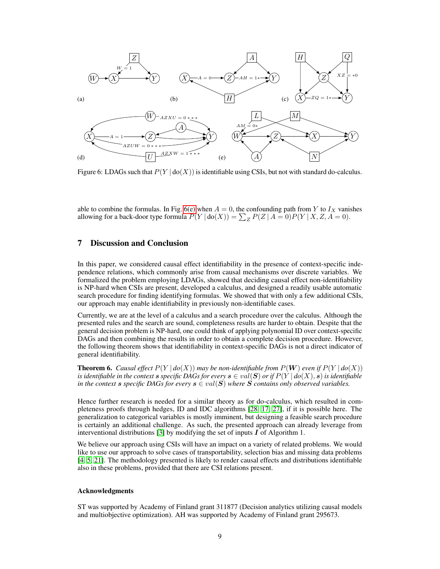

Figure 6: LDAGs such that  $P(Y | d o(X))$  is identifiable using CSIs, but not with standard do-calculus.

able to combine the formulas. In Fig. 6(e) when  $A = 0$ , the confounding path from Y to  $I_X$  vanishes allowing for a back-door type formula  $P(Y | \text{do}(X)) = \sum_{Z} P(Z | A = 0) P(Y | X, Z, A = 0)$ .

# 7 Discussion and Conclusion

In this paper, we considered causal effect identifiability in the presence of context-specific independence relations, which commonly arise from causal mechanisms over discrete variables. We formalized the problem employing LDAGs, showed that deciding causal effect non-identifiability is NP-hard when CSIs are present, developed a calculus, and designed a readily usable automatic search procedure for finding identifying formulas. We showed that with only a few additional CSIs, our approach may enable identifiability in previously non-identifiable cases.

Currently, we are at the level of a calculus and a search procedure over the calculus. Although the presented rules and the search are sound, completeness results are harder to obtain. Despite that the general decision problem is NP-hard, one could think of applying polynomial ID over context-specific DAGs and then combining the results in order to obtain a complete decision procedure. However, the following theorem shows that identifiability in context-specific DAGs is not a direct indicator of general identifiability.

**Theorem 6.** *Causal effect*  $P(Y | do(X))$  *may be non-identifiable from*  $P(W)$  *even if*  $P(Y | do(X))$ *is identifiable in the context s specific DAGs for every*  $s \in val(S)$  *or if*  $P(Y | do(X), s)$  *is identifiable in the context s specific DAGs for every*  $s \in val(S)$  *where* S *contains only observed variables.* 

Hence further research is needed for a similar theory as for do-calculus, which resulted in completeness proofs through hedges, ID and IDC algorithms [28, 17, 27], if it is possible here. The generalization to categorical variables is mostly imminent, but designing a feasible search procedure is certainly an additional challenge. As such, the presented approach can already leverage from interventional distributions [3] by modifying the set of inputs  $I$  of Algorithm 1.

We believe our approach using CSIs will have an impact on a variety of related problems. We would like to use our approach to solve cases of transportability, selection bias and missing data problems [4, 5, 21]. The methodology presented is likely to render causal effects and distributions identifiable also in these problems, provided that there are CSI relations present.

## Acknowledgments

ST was supported by Academy of Finland grant 311877 (Decision analytics utilizing causal models and multiobjective optimization). AH was supported by Academy of Finland grant 295673.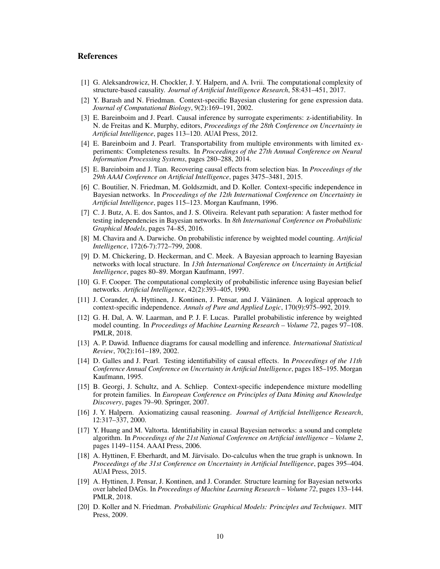## References

- [1] G. Aleksandrowicz, H. Chockler, J. Y. Halpern, and A. Ivrii. The computational complexity of structure-based causality. *Journal of Artificial Intelligence Research*, 58:431–451, 2017.
- [2] Y. Barash and N. Friedman. Context-specific Bayesian clustering for gene expression data. *Journal of Computational Biology*, 9(2):169–191, 2002.
- [3] E. Bareinboim and J. Pearl. Causal inference by surrogate experiments: z-identifiability. In N. de Freitas and K. Murphy, editors, *Proceedings of the 28th Conference on Uncertainty in Artificial Intelligence*, pages 113–120. AUAI Press, 2012.
- [4] E. Bareinboim and J. Pearl. Transportability from multiple environments with limited experiments: Completeness results. In *Proceedings of the 27th Annual Conference on Neural Information Processing Systems*, pages 280–288, 2014.
- [5] E. Bareinboim and J. Tian. Recovering causal effects from selection bias. In *Proceedings of the 29th AAAI Conference on Artificial Intelligence*, pages 3475–3481, 2015.
- [6] C. Boutilier, N. Friedman, M. Goldszmidt, and D. Koller. Context-specific independence in Bayesian networks. In *Proceedings of the 12th International Conference on Uncertainty in Artificial Intelligence*, pages 115–123. Morgan Kaufmann, 1996.
- [7] C. J. Butz, A. E. dos Santos, and J. S. Oliveira. Relevant path separation: A faster method for testing independencies in Bayesian networks. In *8th International Conference on Probabilistic Graphical Models*, pages 74–85, 2016.
- [8] M. Chavira and A. Darwiche. On probabilistic inference by weighted model counting. *Artificial Intelligence*, 172(6-7):772–799, 2008.
- [9] D. M. Chickering, D. Heckerman, and C. Meek. A Bayesian approach to learning Bayesian networks with local structure. In *13th International Conference on Uncertainty in Artificial Intelligence*, pages 80–89. Morgan Kaufmann, 1997.
- [10] G. F. Cooper. The computational complexity of probabilistic inference using Bayesian belief networks. *Artificial Intelligence*, 42(2):393–405, 1990.
- [11] J. Corander, A. Hyttinen, J. Kontinen, J. Pensar, and J. Väänänen. A logical approach to context-specific independence. *Annals of Pure and Applied Logic*, 170(9):975–992, 2019.
- [12] G. H. Dal, A. W. Laarman, and P. J. F. Lucas. Parallel probabilistic inference by weighted model counting. In *Proceedings of Machine Learning Research – Volume 72*, pages 97–108. PMLR, 2018.
- [13] A. P. Dawid. Influence diagrams for causal modelling and inference. *International Statistical Review*, 70(2):161–189, 2002.
- [14] D. Galles and J. Pearl. Testing identifiability of causal effects. In *Proceedings of the 11th Conference Annual Conference on Uncertainty in Artificial Intelligence*, pages 185–195. Morgan Kaufmann, 1995.
- [15] B. Georgi, J. Schultz, and A. Schliep. Context-specific independence mixture modelling for protein families. In *European Conference on Principles of Data Mining and Knowledge Discovery*, pages 79–90. Springer, 2007.
- [16] J. Y. Halpern. Axiomatizing causal reasoning. *Journal of Artificial Intelligence Research*, 12:317–337, 2000.
- [17] Y. Huang and M. Valtorta. Identifiability in causal Bayesian networks: a sound and complete algorithm. In *Proceedings of the 21st National Conference on Artificial intelligence – Volume 2*, pages 1149–1154. AAAI Press, 2006.
- [18] A. Hyttinen, F. Eberhardt, and M. Järvisalo. Do-calculus when the true graph is unknown. In *Proceedings of the 31st Conference on Uncertainty in Artificial Intelligence*, pages 395–404. AUAI Press, 2015.
- [19] A. Hyttinen, J. Pensar, J. Kontinen, and J. Corander. Structure learning for Bayesian networks over labeled DAGs. In *Proceedings of Machine Learning Research – Volume 72*, pages 133–144. PMLR, 2018.
- [20] D. Koller and N. Friedman. *Probabilistic Graphical Models: Principles and Techniques*. MIT Press, 2009.